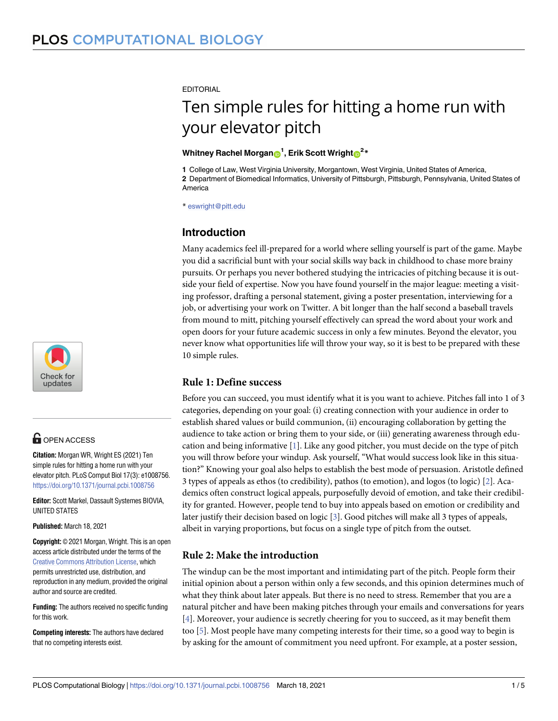**EDITORIAL** 

# Ten simple rules for hitting a home run with your elevator pitch

#### $\blacksquare$  **Whitney Rachel Morgan** $\blacksquare^1$ **, Erik Scott Wright** $\blacksquare^2*$

**1** College of Law, West Virginia University, Morgantown, West Virginia, United States of America,

**2** Department of Biomedical Informatics, University of Pittsburgh, Pittsburgh, Pennsylvania, United States of America

\* eswright@pitt.edu

## **Introduction**

Many academics feel ill-prepared for a world where selling yourself is part of the game. Maybe you did a sacrificial bunt with your social skills way back in childhood to chase more brainy pursuits. Or perhaps you never bothered studying the intricacies of pitching because it is outside your field of expertise. Now you have found yourself in the major league: meeting a visiting professor, drafting a personal statement, giving a poster presentation, interviewing for a job, or advertising your work on Twitter. A bit longer than the half second a baseball travels from mound to mitt, pitching yourself effectively can spread the word about your work and open doors for your future academic success in only a few minutes. Beyond the elevator, you never know what opportunities life will throw your way, so it is best to be prepared with these 10 simple rules.

## **Rule 1: Define success**

Before you can succeed, you must identify what it is you want to achieve. Pitches fall into 1 of 3 categories, depending on your goal: (i) creating connection with your audience in order to establish shared values or build communion, (ii) encouraging collaboration by getting the audience to take action or bring them to your side, or (iii) generating awareness through education and being informative [1]. Like any good pitcher, you must decide on the type of pitch you will throw before your windup. Ask yourself, "What would success look like in this situation?" Knowing your goal also helps to establish the best mode of persuasion. Aristotle defined 3 types of appeals as ethos (to credibility), pathos (to emotion), and logos (to logic) [2]. Academics often construct logical appeals, purposefully devoid of emotion, and take their credibility for granted. However, people tend to buy into appeals based on emotion or credibility and later justify their decision based on logic [3]. Good pitches will make all 3 types of appeals, albeit in varying proportions, but focus on a single type of pitch from the outset.

### **Rule 2: Make the introduction**

The windup can be the most important and intimidating part of the pitch. People form their initial opinion about a person within only a few seconds, and this opinion determines much of what they think about later appeals. But there is no need to stress. Remember that you are a natural pitcher and have been making pitches through your emails and conversations for years [4]. Moreover, your audience is secretly cheering for you to succeed, as it may benefit them too [5]. Most people have many competing interests for their time, so a good way to begin is by asking for the amount of commitment you need upfront. For example, at a poster session,



## **G** OPEN ACCESS

**Citation:** Morgan WR, Wright ES (2021) Ten simple rules for hitting a home run with your elevator pitch. PLoS Comput Biol 17(3): e1008756. https://doi.org/10.1371/journal.pcbi.1008756

**Editor:** Scott Markel, Dassault Systemes BIOVIA, UNITED STATES

**Published:** March 18, 2021

**Copyright:** © 2021 Morgan, Wright. This is an open access article distributed under the terms of the Creative Commons Attribution License, which permits unrestricted use, distribution, and reproduction in any medium, provided the original author and source are credited.

**Funding:** The authors received no specific funding for this work.

**Competing interests:** The authors have declared that no competing interests exist.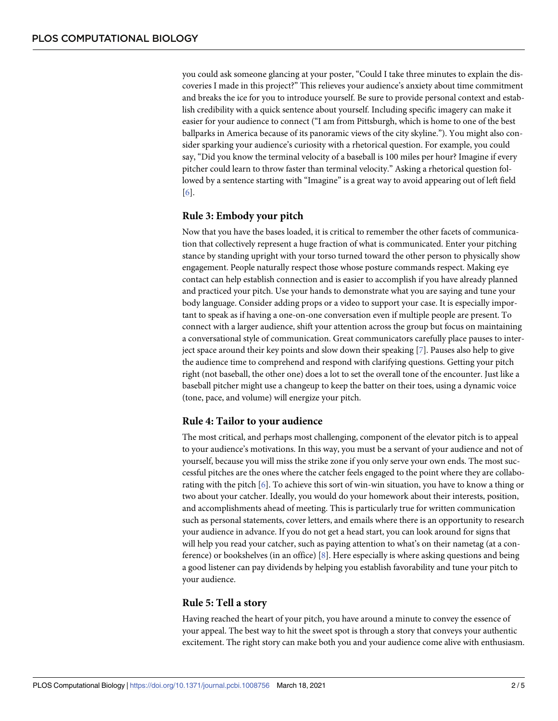you could ask someone glancing at your poster, "Could I take three minutes to explain the discoveries I made in this project?" This relieves your audience's anxiety about time commitment and breaks the ice for you to introduce yourself. Be sure to provide personal context and establish credibility with a quick sentence about yourself. Including specific imagery can make it easier for your audience to connect ("I am from Pittsburgh, which is home to one of the best ballparks in America because of its panoramic views of the city skyline."). You might also consider sparking your audience's curiosity with a rhetorical question. For example, you could say, "Did you know the terminal velocity of a baseball is 100 miles per hour? Imagine if every pitcher could learn to throw faster than terminal velocity." Asking a rhetorical question followed by a sentence starting with "Imagine" is a great way to avoid appearing out of left field [6].

#### **Rule 3: Embody your pitch**

Now that you have the bases loaded, it is critical to remember the other facets of communication that collectively represent a huge fraction of what is communicated. Enter your pitching stance by standing upright with your torso turned toward the other person to physically show engagement. People naturally respect those whose posture commands respect. Making eye contact can help establish connection and is easier to accomplish if you have already planned and practiced your pitch. Use your hands to demonstrate what you are saying and tune your body language. Consider adding props or a video to support your case. It is especially important to speak as if having a one-on-one conversation even if multiple people are present. To connect with a larger audience, shift your attention across the group but focus on maintaining a conversational style of communication. Great communicators carefully place pauses to interject space around their key points and slow down their speaking [7]. Pauses also help to give the audience time to comprehend and respond with clarifying questions. Getting your pitch right (not baseball, the other one) does a lot to set the overall tone of the encounter. Just like a baseball pitcher might use a changeup to keep the batter on their toes, using a dynamic voice (tone, pace, and volume) will energize your pitch.

#### **Rule 4: Tailor to your audience**

The most critical, and perhaps most challenging, component of the elevator pitch is to appeal to your audience's motivations. In this way, you must be a servant of your audience and not of yourself, because you will miss the strike zone if you only serve your own ends. The most successful pitches are the ones where the catcher feels engaged to the point where they are collaborating with the pitch [6]. To achieve this sort of win-win situation, you have to know a thing or two about your catcher. Ideally, you would do your homework about their interests, position, and accomplishments ahead of meeting. This is particularly true for written communication such as personal statements, cover letters, and emails where there is an opportunity to research your audience in advance. If you do not get a head start, you can look around for signs that will help you read your catcher, such as paying attention to what's on their nametag (at a conference) or bookshelves (in an office) [8]. Here especially is where asking questions and being a good listener can pay dividends by helping you establish favorability and tune your pitch to your audience.

#### **Rule 5: Tell a story**

Having reached the heart of your pitch, you have around a minute to convey the essence of your appeal. The best way to hit the sweet spot is through a story that conveys your authentic excitement. The right story can make both you and your audience come alive with enthusiasm.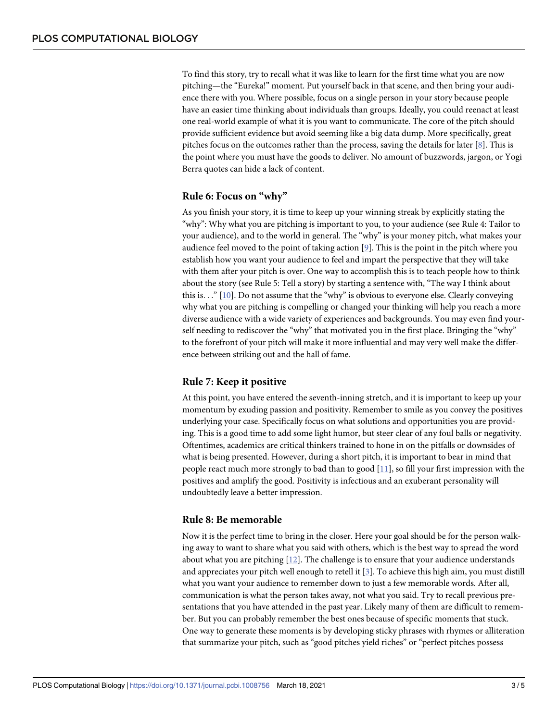To find this story, try to recall what it was like to learn for the first time what you are now pitching—the "Eureka!" moment. Put yourself back in that scene, and then bring your audience there with you. Where possible, focus on a single person in your story because people have an easier time thinking about individuals than groups. Ideally, you could reenact at least one real-world example of what it is you want to communicate. The core of the pitch should provide sufficient evidence but avoid seeming like a big data dump. More specifically, great pitches focus on the outcomes rather than the process, saving the details for later [8]. This is the point where you must have the goods to deliver. No amount of buzzwords, jargon, or Yogi Berra quotes can hide a lack of content.

#### **Rule 6: Focus on "why"**

As you finish your story, it is time to keep up your winning streak by explicitly stating the "why": Why what you are pitching is important to you, to your audience (see Rule 4: Tailor to your audience), and to the world in general. The "why" is your money pitch, what makes your audience feel moved to the point of taking action [9]. This is the point in the pitch where you establish how you want your audience to feel and impart the perspective that they will take with them after your pitch is over. One way to accomplish this is to teach people how to think about the story (see Rule 5: Tell a story) by starting a sentence with, "The way I think about this is. . ." [10]. Do not assume that the "why" is obvious to everyone else. Clearly conveying why what you are pitching is compelling or changed your thinking will help you reach a more diverse audience with a wide variety of experiences and backgrounds. You may even find yourself needing to rediscover the "why" that motivated you in the first place. Bringing the "why" to the forefront of your pitch will make it more influential and may very well make the difference between striking out and the hall of fame.

#### **Rule 7: Keep it positive**

At this point, you have entered the seventh-inning stretch, and it is important to keep up your momentum by exuding passion and positivity. Remember to smile as you convey the positives underlying your case. Specifically focus on what solutions and opportunities you are providing. This is a good time to add some light humor, but steer clear of any foul balls or negativity. Oftentimes, academics are critical thinkers trained to hone in on the pitfalls or downsides of what is being presented. However, during a short pitch, it is important to bear in mind that people react much more strongly to bad than to good [11], so fill your first impression with the positives and amplify the good. Positivity is infectious and an exuberant personality will undoubtedly leave a better impression.

#### **Rule 8: Be memorable**

Now it is the perfect time to bring in the closer. Here your goal should be for the person walking away to want to share what you said with others, which is the best way to spread the word about what you are pitching [12]. The challenge is to ensure that your audience understands and appreciates your pitch well enough to retell it  $[3]$ . To achieve this high aim, you must distill what you want your audience to remember down to just a few memorable words. After all, communication is what the person takes away, not what you said. Try to recall previous presentations that you have attended in the past year. Likely many of them are difficult to remember. But you can probably remember the best ones because of specific moments that stuck. One way to generate these moments is by developing sticky phrases with rhymes or alliteration that summarize your pitch, such as "good pitches yield riches" or "perfect pitches possess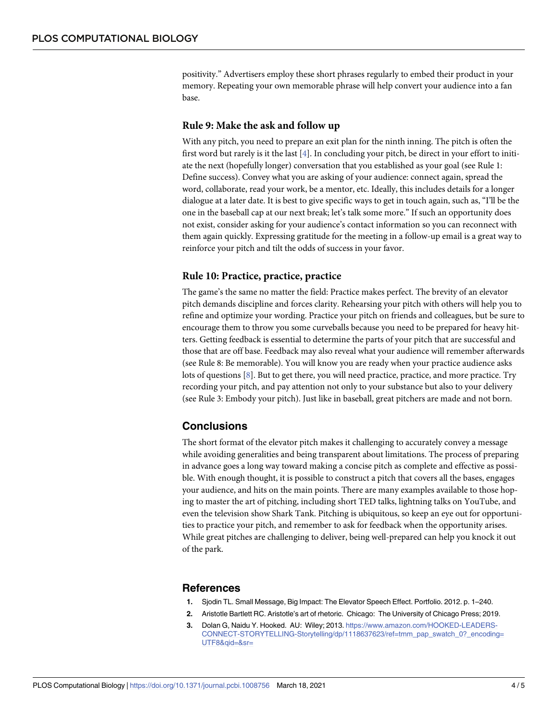positivity." Advertisers employ these short phrases regularly to embed their product in your memory. Repeating your own memorable phrase will help convert your audience into a fan base.

#### **Rule 9: Make the ask and follow up**

With any pitch, you need to prepare an exit plan for the ninth inning. The pitch is often the first word but rarely is it the last [4]. In concluding your pitch, be direct in your effort to initiate the next (hopefully longer) conversation that you established as your goal (see Rule 1: Define success). Convey what you are asking of your audience: connect again, spread the word, collaborate, read your work, be a mentor, etc. Ideally, this includes details for a longer dialogue at a later date. It is best to give specific ways to get in touch again, such as, "I'll be the one in the baseball cap at our next break; let's talk some more." If such an opportunity does not exist, consider asking for your audience's contact information so you can reconnect with them again quickly. Expressing gratitude for the meeting in a follow-up email is a great way to reinforce your pitch and tilt the odds of success in your favor.

#### **Rule 10: Practice, practice, practice**

The game's the same no matter the field: Practice makes perfect. The brevity of an elevator pitch demands discipline and forces clarity. Rehearsing your pitch with others will help you to refine and optimize your wording. Practice your pitch on friends and colleagues, but be sure to encourage them to throw you some curveballs because you need to be prepared for heavy hitters. Getting feedback is essential to determine the parts of your pitch that are successful and those that are off base. Feedback may also reveal what your audience will remember afterwards (see Rule 8: Be memorable). You will know you are ready when your practice audience asks lots of questions [8]. But to get there, you will need practice, practice, and more practice. Try recording your pitch, and pay attention not only to your substance but also to your delivery (see Rule 3: Embody your pitch). Just like in baseball, great pitchers are made and not born.

#### **Conclusions**

The short format of the elevator pitch makes it challenging to accurately convey a message while avoiding generalities and being transparent about limitations. The process of preparing in advance goes a long way toward making a concise pitch as complete and effective as possible. With enough thought, it is possible to construct a pitch that covers all the bases, engages your audience, and hits on the main points. There are many examples available to those hoping to master the art of pitching, including short TED talks, lightning talks on YouTube, and even the television show Shark Tank. Pitching is ubiquitous, so keep an eye out for opportunities to practice your pitch, and remember to ask for feedback when the opportunity arises. While great pitches are challenging to deliver, being well-prepared can help you knock it out of the park.

#### **References**

- **1.** Sjodin TL. Small Message, Big Impact: The Elevator Speech Effect. Portfolio. 2012. p. 1–240.
- **2.** Aristotle Bartlett RC. Aristotle's art of rhetoric. Chicago: The University of Chicago Press; 2019.
- **3.** Dolan G, Naidu Y. Hooked. AU: Wiley; 2013. https://www.amazon.com/HOOKED-LEADERS-CONNECT-STORYTELLING-Storytelling/dp/1118637623/ref=tmm\_pap\_swatch\_0?\_encoding= UTF8&qid=&sr=